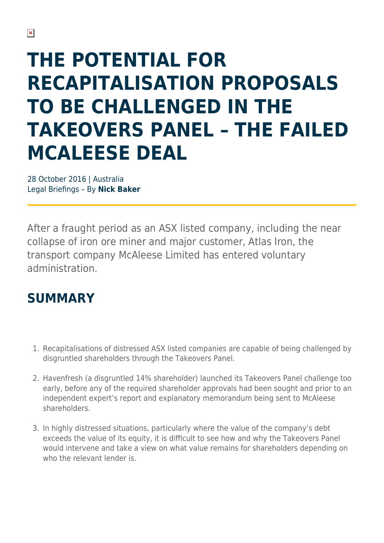# **THE POTENTIAL FOR RECAPITALISATION PROPOSALS TO BE CHALLENGED IN THE TAKEOVERS PANEL – THE FAILED MCALEESE DEAL**

28 October 2016 | Australia Legal Briefings – By **Nick Baker**

After a fraught period as an ASX listed company, including the near collapse of iron ore miner and major customer, Atlas Iron, the transport company McAleese Limited has entered voluntary administration.

## **SUMMARY**

- 1. Recapitalisations of distressed ASX listed companies are capable of being challenged by disgruntled shareholders through the Takeovers Panel.
- 2. Havenfresh (a disgruntled 14% shareholder) launched its Takeovers Panel challenge too early, before any of the required shareholder approvals had been sought and prior to an independent expert's report and explanatory memorandum being sent to McAleese shareholders.
- 3. In highly distressed situations, particularly where the value of the company's debt exceeds the value of its equity, it is difficult to see how and why the Takeovers Panel would intervene and take a view on what value remains for shareholders depending on who the relevant lender is.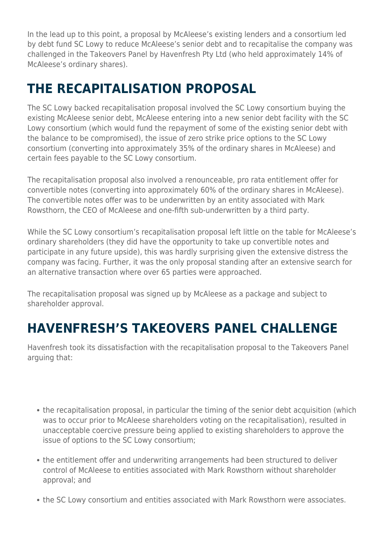In the lead up to this point, a proposal by McAleese's existing lenders and a consortium led by debt fund SC Lowy to reduce McAleese's senior debt and to recapitalise the company was challenged in the Takeovers Panel by Havenfresh Pty Ltd (who held approximately 14% of McAleese's ordinary shares).

## **THE RECAPITALISATION PROPOSAL**

The SC Lowy backed recapitalisation proposal involved the SC Lowy consortium buying the existing McAleese senior debt, McAleese entering into a new senior debt facility with the SC Lowy consortium (which would fund the repayment of some of the existing senior debt with the balance to be compromised), the issue of zero strike price options to the SC Lowy consortium (converting into approximately 35% of the ordinary shares in McAleese) and certain fees payable to the SC Lowy consortium.

The recapitalisation proposal also involved a renounceable, pro rata entitlement offer for convertible notes (converting into approximately 60% of the ordinary shares in McAleese). The convertible notes offer was to be underwritten by an entity associated with Mark Rowsthorn, the CEO of McAleese and one-fifth sub-underwritten by a third party.

While the SC Lowy consortium's recapitalisation proposal left little on the table for McAleese's ordinary shareholders (they did have the opportunity to take up convertible notes and participate in any future upside), this was hardly surprising given the extensive distress the company was facing. Further, it was the only proposal standing after an extensive search for an alternative transaction where over 65 parties were approached.

The recapitalisation proposal was signed up by McAleese as a package and subject to shareholder approval.

# **HAVENFRESH'S TAKEOVERS PANEL CHALLENGE**

Havenfresh took its dissatisfaction with the recapitalisation proposal to the Takeovers Panel arguing that:

- the recapitalisation proposal, in particular the timing of the senior debt acquisition (which was to occur prior to McAleese shareholders voting on the recapitalisation), resulted in unacceptable coercive pressure being applied to existing shareholders to approve the issue of options to the SC Lowy consortium;
- the entitlement offer and underwriting arrangements had been structured to deliver control of McAleese to entities associated with Mark Rowsthorn without shareholder approval; and
- the SC Lowy consortium and entities associated with Mark Rowsthorn were associates.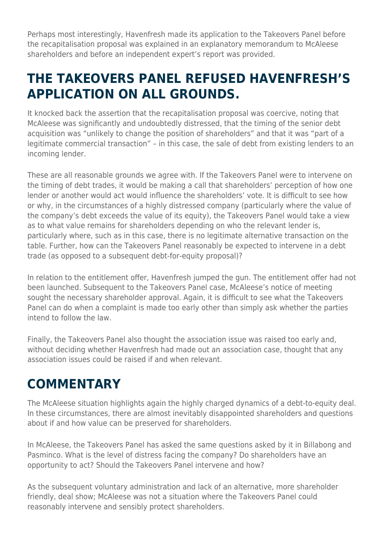Perhaps most interestingly, Havenfresh made its application to the Takeovers Panel before the recapitalisation proposal was explained in an explanatory memorandum to McAleese shareholders and before an independent expert's report was provided.

#### **THE TAKEOVERS PANEL REFUSED HAVENFRESH'S APPLICATION ON ALL GROUNDS.**

It knocked back the assertion that the recapitalisation proposal was coercive, noting that McAleese was significantly and undoubtedly distressed, that the timing of the senior debt acquisition was "unlikely to change the position of shareholders" and that it was "part of a legitimate commercial transaction" – in this case, the sale of debt from existing lenders to an incoming lender.

These are all reasonable grounds we agree with. If the Takeovers Panel were to intervene on the timing of debt trades, it would be making a call that shareholders' perception of how one lender or another would act would influence the shareholders' vote. It is difficult to see how or why, in the circumstances of a highly distressed company (particularly where the value of the company's debt exceeds the value of its equity), the Takeovers Panel would take a view as to what value remains for shareholders depending on who the relevant lender is, particularly where, such as in this case, there is no legitimate alternative transaction on the table. Further, how can the Takeovers Panel reasonably be expected to intervene in a debt trade (as opposed to a subsequent debt-for-equity proposal)?

In relation to the entitlement offer, Havenfresh jumped the gun. The entitlement offer had not been launched. Subsequent to the Takeovers Panel case, McAleese's notice of meeting sought the necessary shareholder approval. Again, it is difficult to see what the Takeovers Panel can do when a complaint is made too early other than simply ask whether the parties intend to follow the law.

Finally, the Takeovers Panel also thought the association issue was raised too early and, without deciding whether Havenfresh had made out an association case, thought that any association issues could be raised if and when relevant.

#### **COMMENTARY**

The McAleese situation highlights again the highly charged dynamics of a debt-to-equity deal. In these circumstances, there are almost inevitably disappointed shareholders and questions about if and how value can be preserved for shareholders.

In McAleese, the Takeovers Panel has asked the same questions asked by it in Billabong and Pasminco. What is the level of distress facing the company? Do shareholders have an opportunity to act? Should the Takeovers Panel intervene and how?

As the subsequent voluntary administration and lack of an alternative, more shareholder friendly, deal show; McAleese was not a situation where the Takeovers Panel could reasonably intervene and sensibly protect shareholders.